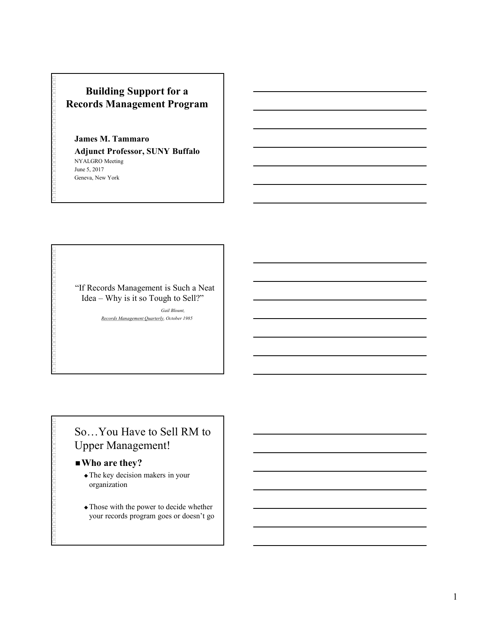### Building Support for a Records Management Program

### James M. Tammaro

Adjunct Professor, SUNY Buffalo NYALGRO Meeting June 5, 2017 Geneva, New York France M. Tammaro<br>
Indignate Trofessor, SUNY Buffalo<br>
Julician Meeting<br>
Management is SUNY Buffalo<br>
Ses, 2017<br>
FRECOTOS Management is Such a Neat<br>
Idea – Why is it so Tough to Sell?"<br>
Records Management Quarterly, October

"If Records Management is Such a Neat

Gail Blount, Records Management Quarterly, October 1985

### So…You Have to Sell RM to Upper Management!

### ■ Who are they?

- The key decision makers in your organization
- Those with the power to decide whether your records program goes or doesn't go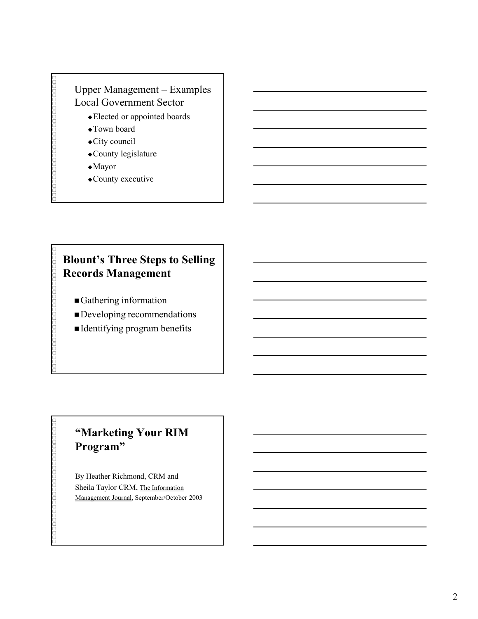# Upper Management – Examples<br>
Local Government Sector<br>
• Elected or appointed boards<br>
• Town board<br>
• City council Local Government Sector

- Elected or appointed boards
- Town board
- City council
- County legislature
- Mayor
- County executive

### Blount's Three Steps to Selling Records Management

- Gathering information
- Developing recommendations
- Identifying program benefits

### "Marketing Your RIM Program"

By Heather Richmond, CRM and Sheila Taylor CRM, The Information Management Journal, September/October 2003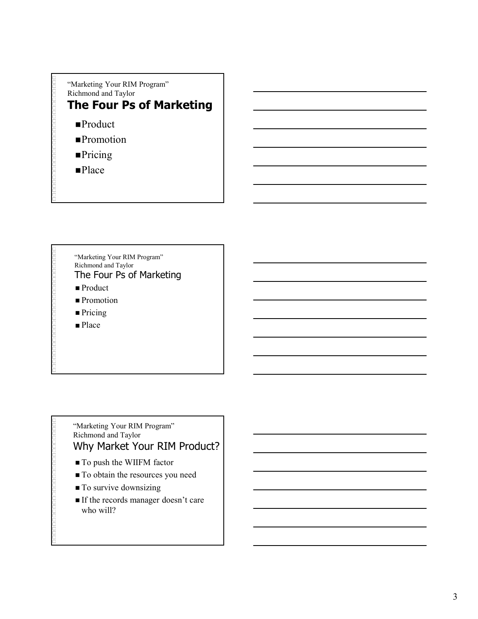

- **Pricing**
- **Place**

"Marketing Your RIM Program" Richmond and Taylor The Four Ps of Marketing

- Product
- **Promotion**
- Pricing
- Place

### "Marketing Your RIM Program" Richmond and Taylor Why Market Your RIM Product?

- To push the WIIFM factor
- $\blacksquare$  To obtain the resources you need
- $\blacksquare$  To survive downsizing
- If the records manager doesn't care who will?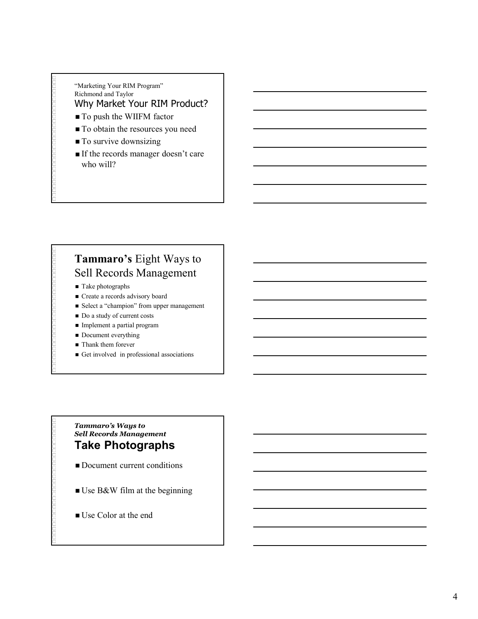### "Marketing Your RIM Program" Richmond and Taylor Why Market Your RIM Product?

- To push the WIIFM factor
- $\blacksquare$  To obtain the resources you need
- $\blacksquare$  To survive downsizing
- If the records manager doesn't care who will?

### Tammaro's Eight Ways to Sell Records Management Tammaro's Eight Ways to<br>
Sell Records Management<br>
Fake photographs<br>
Create a reconst advisory board<br>
Select a "champion" from upper management<br> **Example 1** and y of current costs<br> **Examplement a rapirally program**<br> **Exampl**

- Take photographs
- Create a records advisory board
- Select a "champion" from upper management
- Do a study of current costs
- Implement a partial program
- Document everything
- Thank them forever
- Get involved in professional associations

### Sell Records Management Take Photographs

- Document current conditions
- Use B&W film at the beginning
- Use Color at the end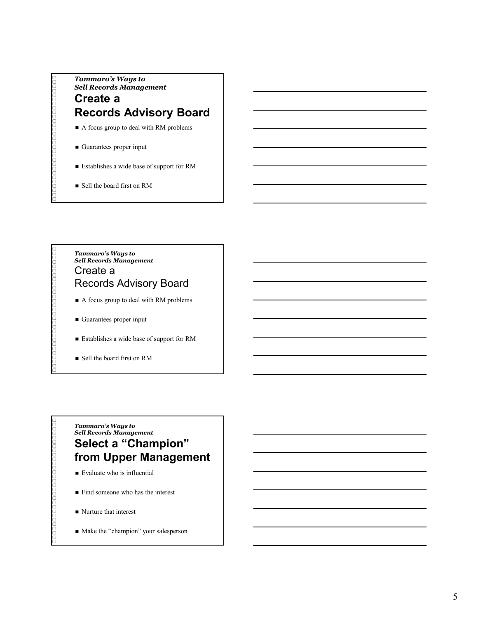### Tammaro's Ways to<br>
Sell Records Management<br>
Create a<br>
Records Advisory Board<br>
■ A focus group to deal with RM problems Sell Records Management Create a Records Advisory Board Tammaro's Ways to<br>
Sell Records Management<br>
Create a<br>
Records Advisory Board<br>
■ A focus group to deal with RM problems<br>
■ Guarantees proper input<br>
■ Establishes a wide base of support for RM<br>
■ Sell the board first on RM<br>

- A focus group to deal with RM problems
- Guarantees proper input
- Establishes a wide base of support for RM
- Sell the board first on RM

### Sell Records Management Create a Records Advisory Board

- A focus group to deal with RM problems
- Guarantees proper input
- Establishes a wide base of support for RM
- Sell the board first on RM

### Tammaro's Ways to<br>
Sell Records Management<br>
Create a<br>
Records Advisory Board<br>
A focus group to deal with RM problems<br>
Cuarantees proper input<br>
Establishes a wide base of support for RM<br>
Sell the board first on RM<br>
Sell Rec Sell Records Management Select a "Champion" from Upper Management

- Evaluate who is influential
- **Find someone who has the interest**
- Nurture that interest
- $\blacksquare$  Make the "champion" your salesperson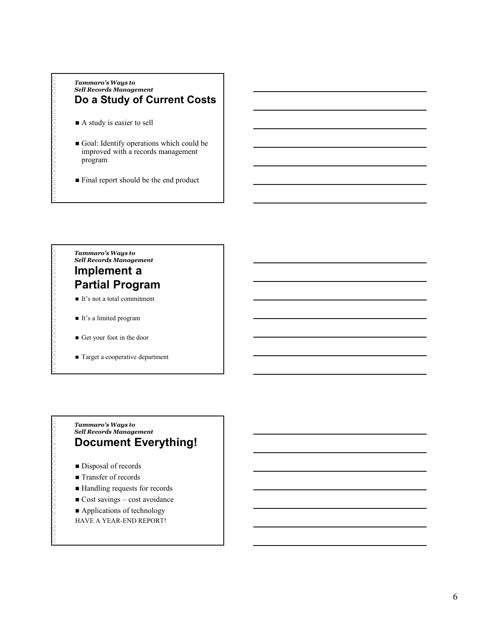## Tammaro's Ways to<br>Sell Records Management<br>Do a Study of Current Costs<br>■ A study is easier to sell Sell Records Management Do a Study of Current Costs Tammaro's Ways to<br>
Sell Records Management<br>
Do a Study of Current Costs<br>
<br>
A study is easier to sell<br>
<br>
Goal: Identify operations which could be<br>
improved with a records management<br>
program<br>
Final report should be the end

- A study is easier to sell
- Goal: Identify operations which could be improved with a records management program
- Final report should be the end product

### Sell Records Management Implement a

### Partial Program

- It's not a total commitment
- It's a limited program
- Get your foot in the door
- Target a cooperative department

### Tammaro's Ways to<br>
Sell Records Management<br>
Implement a<br> **Partial Program**<br> **Examplement a**<br> **Examplement**<br> **Examplement**<br> **Examplement**<br> **Examplement**<br> **Examplement**<br> **Examplement**<br> **Examplement Everything!**<br>
<br> **Document** Sell Records Management Document Everything! ■ It's not a total commitment<br>
■ It's a limited program<br>
■ Get your foot in the door<br>
■ Target a cooperative department<br>
Trammarro's Ways to<br>
Sell Records Management<br>
DOCUMENT EVETYthing!<br>
■ Disposal of records<br>
■ Handlin

- Disposal of records
- Transfer of records
- Handling requests for records
- 
- 
- HAVE A YEAR-END REPORT!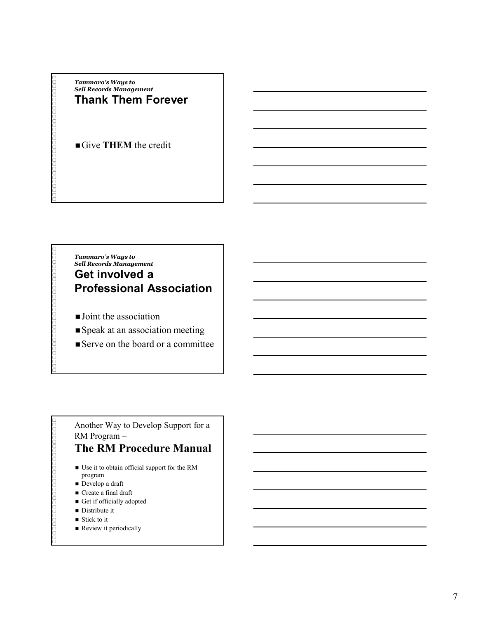Tammaro's Ways to<br>Sell Records Management<br>Thank Them Forever Sell Records Management Thank Them Forever

Give THEM the credit

### Tammaro's Ways to<br>
Sell Records Management<br>
Thank Them Forever<br>
Give THEM the credit<br>
<br>
Tammaro's Ways to<br>
Sell Records Management<br>
Get involved a<br>
Professional Association Tammaro's Ways to<br>Sell Records Management Get involved a Professional Association

- **Joint the association**
- Speak at an association meeting
- Serve on the board or a committee

Another Way to Develop Support for a RM Program –

### The RM Procedure Manual

- Use it to obtain official support for the RM program
- Develop a draft
- Create a final draft
- Get if officially adopted
- **Distribute it**
- Stick to it
- Review it periodically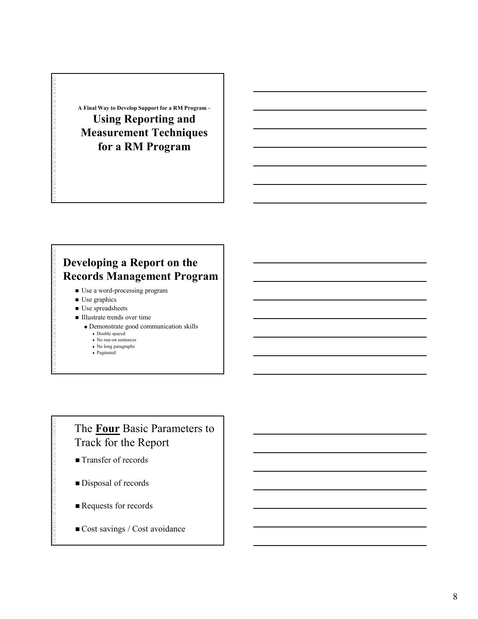A Final Way to Develop Support for a RM Program – Using Reporting and Measurement Techniques for a RM Program

### Developing a Report on the Records Management Program

- Use a word-processing program
- **Use graphics**
- Use spreadsheets
- Illustrate trends over time
	- Demonstrate good communication skills
		- Double spaced
		- $\bullet\,$  No run-on sentences
		- No long paragraphs Paginated

### The Four Basic Parameters to Track for the Report

- Transfer of records
- Disposal of records
- Requests for records
- Cost savings / Cost avoidance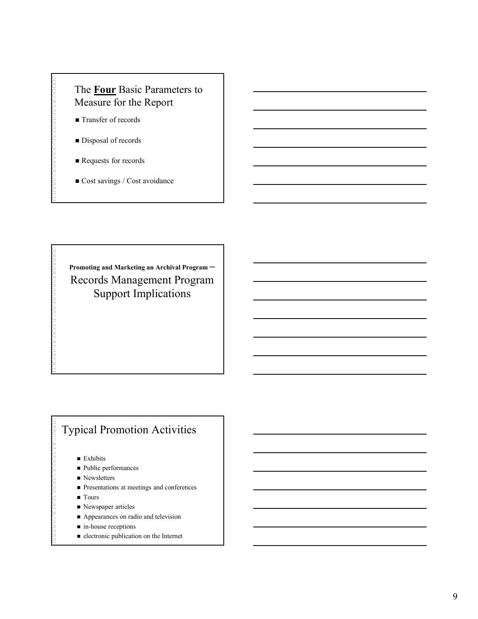### The **Four** Basic Parameters to Measure for the Report

- Transfer of records
- Disposal of records
- Requests for records
- Cost savings / Cost avoidance

Promoting and Marketing an Archival Program – Records Management Program Support Implications

### Typical Promotion Activities

- **Exhibits**
- Public performances
- $\blacksquare$  Newsletters
- **Presentations at meetings and conferences**
- **Tours**
- Newspaper articles
- Appearances on radio and television
- in-house receptions
- electronic publication on the Internet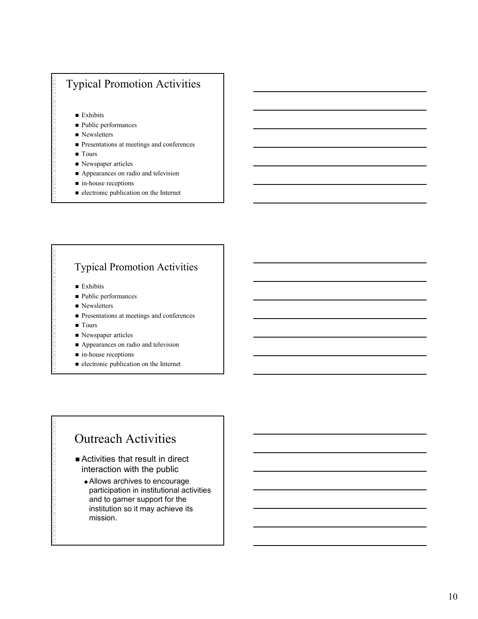### Typical Promotion Activities

**Exhibits** 

- Public performances
- Newsletters
- **Presentations at meetings and conferences**
- Tours
- Newspaper articles
- Appearances on radio and television
- in-house receptions
- $\blacksquare$  electronic publication on the Internet

### Typical Promotion Activities

- **Exhibits**
- Public performances
- Newsletters
- **Presentations at meetings and conferences**
- **Tours**
- Newspaper articles
- Appearances on radio and television
- in-house receptions
- $\blacksquare$ electronic publication on the Internet

### Outreach Activities

- Activities that result in direct interaction with the public
	- Allows archives to encourage participation in institutional activities and to garner support for the institution so it may achieve its mission.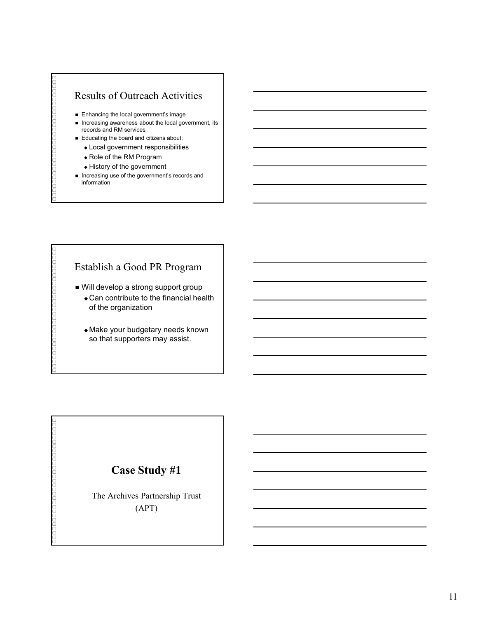### Results of Outreach Activities

- **Enhancing the local government's image**
- $\blacksquare$  Increasing awareness about the local government, its records and RM services
- Educating the board and citizens about:
	- Local government responsibilities
	- Role of the RM Program
	- History of the government
- **Increasing use of the government's records and** information

### Establish a Good PR Program

- Will develop a strong support group
	- Can contribute to the financial health of the organization
	- Make your budgetary needs known so that supporters may assist.

### Case Study #1

The Archives Partnership Trust (APT)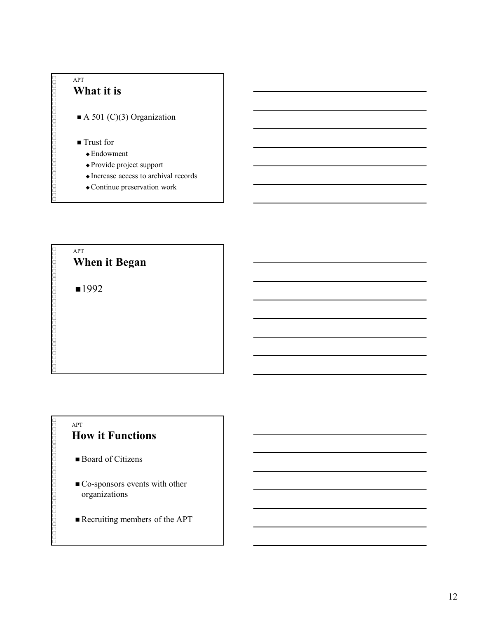



### APT How it Functions

- Board of Citizens
- Go-sponsors events with other organizations
- Recruiting members of the APT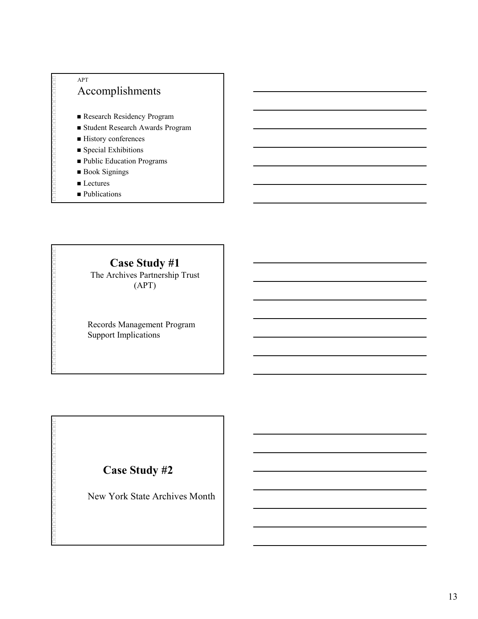### APT Accomplishments

- Research Residency Program
- Student Research Awards Program
- History conferences
- **Special Exhibitions**
- Public Education Programs
- Book Signings
- Lectures
- **Publications**

Case Study #1 The Archives Partnership Trust (APT)

Records Management Program Support Implications

### Case Study #2

New York State Archives Month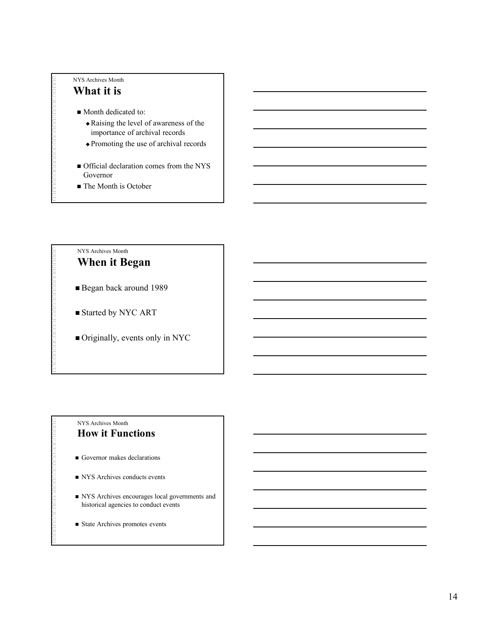### NYS Archives Month What it is

- Month dedicated to:
	- Raising the level of awareness of the importance of archival records
	- Promoting the use of archival records
- Official declaration comes from the NYS Governor
- The Month is October

### NYS Archives Month When it Began

- Began back around 1989
- Started by NYC ART
- Originally, events only in NYC

### NYS Archives Month How it Functions

- Governor makes declarations
- NYS Archives conducts events
- NYS Archives encourages local governments and historical agencies to conduct events
- State Archives promotes events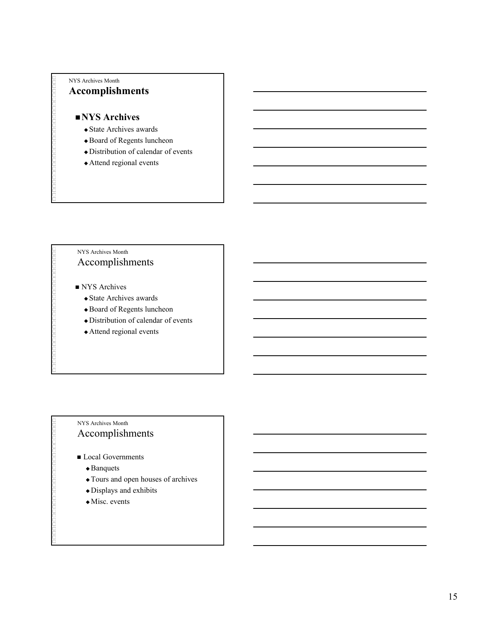### NYS Archives Month Accomplishments

### NYS Archives

- State Archives awards
- Board of Regents luncheon
- Distribution of calendar of events
- Attend regional events

### NYS Archives Month Accomplishments

- NYS Archives
	- State Archives awards
	- Board of Regents luncheon
	- Distribution of calendar of events
	- Attend regional events

### NYS Archives Month Accomplishments

- **Local Governments** 
	- ◆ Banquets
	- Tours and open houses of archives
	- Displays and exhibits
	- Misc. events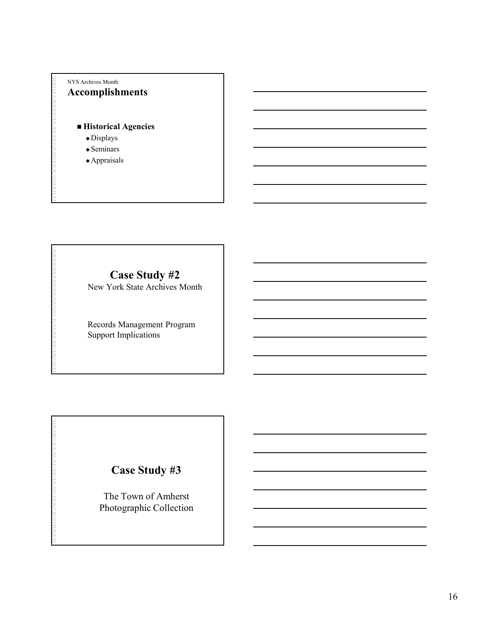### NYS Archives Month Accomplishments

### ■ Historical Agencies

- Displays
- $\triangle$ Seminars
- Appraisals

### Case Study #2

New York State Archives Month

Records Management Program Support Implications

### Case Study #3

The Town of Amherst Photographic Collection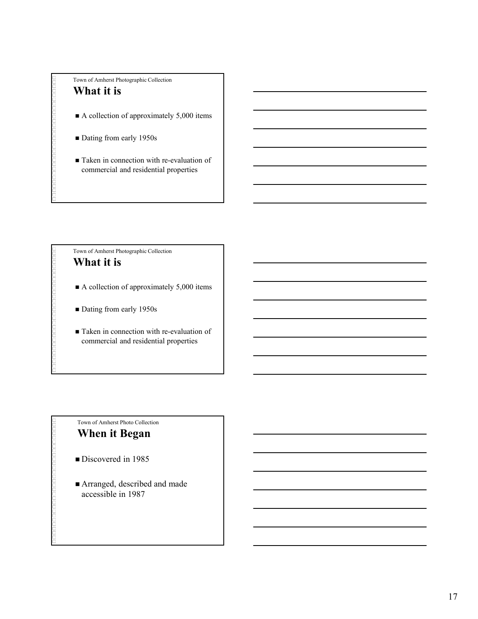Town of Amherst Photographic Collection

### What it is

- A collection of approximately 5,000 items
- Dating from early 1950s
- Taken in connection with re-evaluation of commercial and residential properties

Town of Amherst Photographic Collection What it is

- A collection of approximately 5,000 items
- Dating from early 1950s
- Taken in connection with re-evaluation of commercial and residential properties

### Town of Amherst Photo Collection When it Began

- Discovered in 1985
- Arranged, described and made accessible in 1987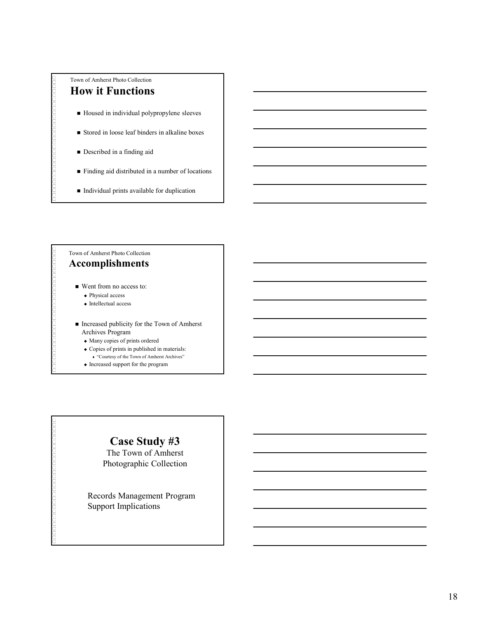### Town of Amherst Photo Collection How it Functions

- Housed in individual polypropylene sleeves
- Stored in loose leaf binders in alkaline boxes
- **Described in a finding aid**
- Finding aid distributed in a number of locations
- $\blacksquare$  Individual prints available for duplication

### Town of Amherst Photo Collection Accomplishments

- Went from no access to:
	- Physical access
	- $\triangle$  Intellectual access
- Increased publicity for the Town of Amherst Archives Program
	- Many copies of prints ordered
	- Copies of prints in published in materials:
		- "Courtesy of the Town of Amherst Archives"
	- $\bullet$  Increased support for the program

### Case Study #3

The Town of Amherst Photographic Collection

Records Management Program Support Implications